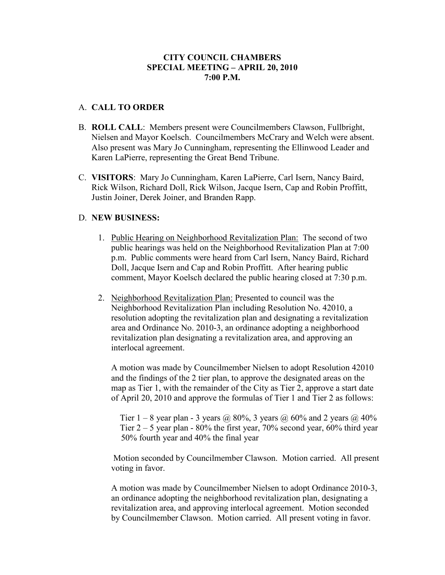## **CITY COUNCIL CHAMBERS SPECIAL MEETING – APRIL 20, 2010 7:00 P.M.**

## A. **CALL TO ORDER**

- B. **ROLL CALL**: Members present were Councilmembers Clawson, Fullbright, Nielsen and Mayor Koelsch. Councilmembers McCrary and Welch were absent. Also present was Mary Jo Cunningham, representing the Ellinwood Leader and Karen LaPierre, representing the Great Bend Tribune.
- C. **VISITORS**: Mary Jo Cunningham, Karen LaPierre, Carl Isern, Nancy Baird, Rick Wilson, Richard Doll, Rick Wilson, Jacque Isern, Cap and Robin Proffitt, Justin Joiner, Derek Joiner, and Branden Rapp.

## D. **NEW BUSINESS:**

- 1. Public Hearing on Neighborhood Revitalization Plan: The second of two public hearings was held on the Neighborhood Revitalization Plan at 7:00 p.m. Public comments were heard from Carl Isern, Nancy Baird, Richard Doll, Jacque Isern and Cap and Robin Proffitt. After hearing public comment, Mayor Koelsch declared the public hearing closed at 7:30 p.m.
- 2. Neighborhood Revitalization Plan: Presented to council was the Neighborhood Revitalization Plan including Resolution No. 42010, a resolution adopting the revitalization plan and designating a revitalization area and Ordinance No. 2010-3, an ordinance adopting a neighborhood revitalization plan designating a revitalization area, and approving an interlocal agreement.

A motion was made by Councilmember Nielsen to adopt Resolution 42010 and the findings of the 2 tier plan, to approve the designated areas on the map as Tier 1, with the remainder of the City as Tier 2, approve a start date of April 20, 2010 and approve the formulas of Tier 1 and Tier 2 as follows:

Tier  $1 - 8$  year plan - 3 years @ 80%, 3 years @ 60% and 2 years @ 40% Tier  $2 - 5$  year plan - 80% the first year, 70% second year, 60% third year 50% fourth year and 40% the final year

 Motion seconded by Councilmember Clawson. Motion carried. All present voting in favor.

A motion was made by Councilmember Nielsen to adopt Ordinance 2010-3, an ordinance adopting the neighborhood revitalization plan, designating a revitalization area, and approving interlocal agreement. Motion seconded by Councilmember Clawson. Motion carried. All present voting in favor.